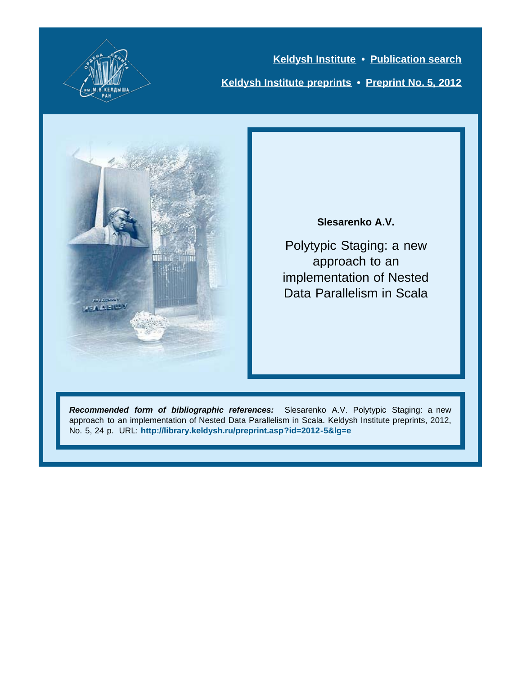

**[Keldysh Institute](http://keldysh.ru/index.en.shtml) • [Publication search](http://library.keldysh.ru/prep_qf.asp?lg=e) [Keldysh Institute preprints](http://library.keldysh.ru/preprints/default.asp?lg=e) • [Preprint No. 5, 2012](http://library.keldysh.ru/preprint.asp?id=2012-5&lg=e)**



#### **Slesarenko A.V.**

Polytypic Staging: a new approach to an implementation of Nested Data Parallelism in Scala

*Recommended form of bibliographic references:* Slesarenko A.V. Polytypic Staging: a new approach to an implementation of Nested Data Parallelism in Scala. Keldysh Institute preprints, 2012, No. 5, 24 p. URL: **<http://library.keldysh.ru/preprint.asp?id=2012-5&lg=e>**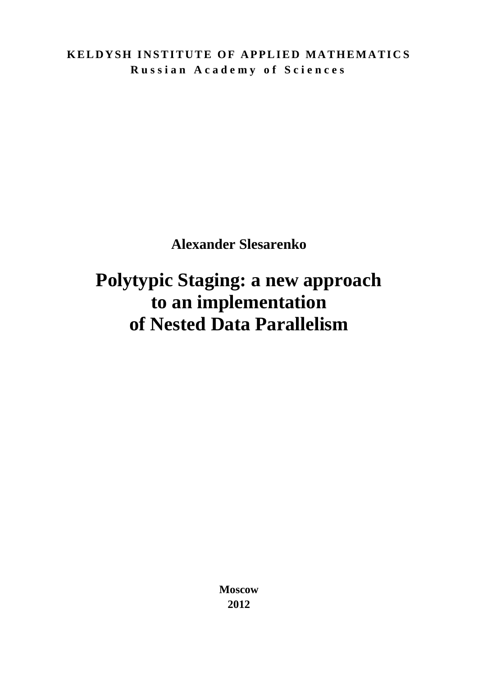**KELDYSH INSTITUTE OF APPLIED MATHEMATICS R u s s i a n A c a d e m y o f S c i e n c e s**

**Alexander Slesarenko**

# **Polytypic Staging: a new approach to an implementation of Nested Data Parallelism**

**Moscow 2012**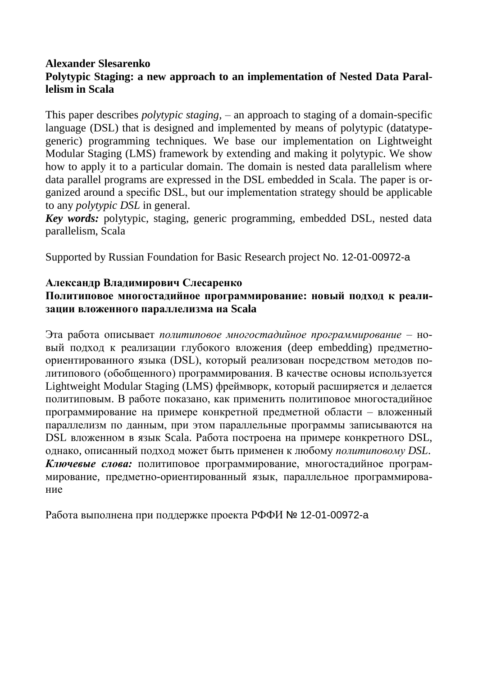### **Alexander Slesarenko Polytypic Staging: a new approach to an implementation of Nested Data Parallelism in Scala**

This paper describes *polytypic staging,* – an approach to staging of a domain-specific language (DSL) that is designed and implemented by means of polytypic (datatypegeneric) programming techniques. We base our implementation on Lightweight Modular Staging (LMS) framework by extending and making it polytypic. We show how to apply it to a particular domain. The domain is nested data parallelism where data parallel programs are expressed in the DSL embedded in Scala. The paper is organized around a specific DSL, but our implementation strategy should be applicable to any *polytypic DSL* in general.

*Key words:* polytypic, staging, generic programming, embedded DSL, nested data parallelism, Scala

Supported by Russian Foundation for Basic Research project No. 12-01-00972-a

### **Александр Владимирович Слесаренко**

### **Политиповое многостадийное программирование: новый подход к реализации вложенного параллелизма на Scala**

Эта работа описывает *политиповое многостадийное программирование* – новый подход к реализации глубокого вложения (deep embedding) предметноориентированного языка (DSL), который реализован посредством методов политипового (обобщенного) программирования. В качестве основы используется Lightweight Modular Staging (LMS) фреймворк, который расширяется и делается политиповым. В работе показано, как применить политиповое многостадийное программирование на примере конкретной предметной области – вложенный параллелизм по данным, при этом параллельные программы записываются на DSL вложенном в язык Scala. Работа построена на примере конкретного DSL, однако, описанный подход может быть применен к любому *политиповому DSL*. *Ключевые слова:* политиповое программирование, многостадийное программирование, предметно-ориентированный язык, параллельное программирование

Работа выполнена при поддержке проекта РФФИ № 12-01-00972-a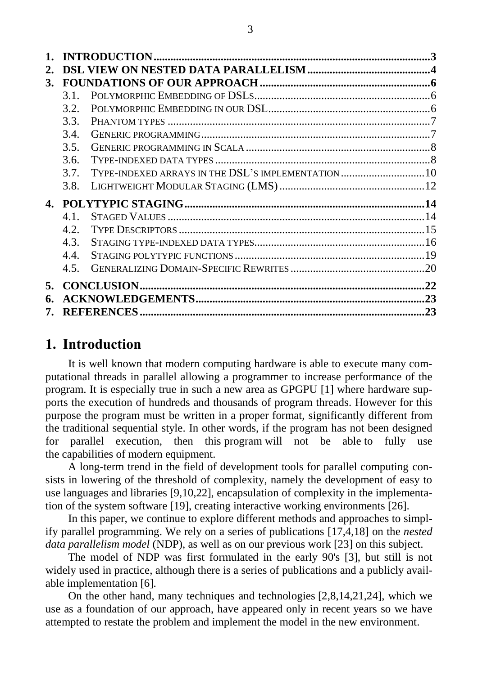|    |                                                            | $\mathbf 3$ |
|----|------------------------------------------------------------|-------------|
| 2. |                                                            |             |
| 3. |                                                            |             |
|    | 31                                                         |             |
|    | 3.2.                                                       |             |
|    | 3.3.                                                       |             |
|    | 3.4.                                                       |             |
|    | 3.5.                                                       |             |
|    | 3.6.                                                       |             |
|    | TYPE-INDEXED ARRAYS IN THE DSL'S IMPLEMENTATION 10<br>3.7. |             |
|    | 3.8.                                                       |             |
|    |                                                            |             |
|    | $4.1$ .                                                    |             |
|    | 4.2.                                                       |             |
|    | 4.3.                                                       |             |
|    | 4.4.                                                       |             |
|    | 4.5.                                                       |             |
| 5. |                                                            |             |
| 6. |                                                            |             |
| 7. |                                                            |             |

# <span id="page-3-0"></span>**1. Introduction**

It is well known that modern computing hardware is able to execute many computational threads in parallel allowing a programmer to increase performance of the program. It is especially true in such a new area as GPGPU [1] where hardware supports the execution of hundreds and thousands of program threads. However for this purpose the program must be written in a proper format, significantly different from the traditional sequential style. In other words, if the program has not been designed for parallel execution, then this program will not be able to fully use the capabilities of modern equipment.

A long-term trend in the field of development tools for parallel computing consists in lowering of the threshold of complexity, namely the development of easy to use languages and libraries [9,10,22], encapsulation of complexity in the implementation of the system software [19], creating interactive working environments [26].

In this paper, we continue to explore different methods and approaches to simplify parallel programming. We rely on a series of publications [17,4,18] on the *nested data parallelism model* (NDP), as well as on our previous work [23] on this subject.

The model of NDP was first formulated in the early 90's [3], but still is not widely used in practice, although there is a series of publications and a publicly available implementation [6].

On the other hand, many techniques and technologies [2,8,14,21,24], which we use as a foundation of our approach, have appeared only in recent years so we have attempted to restate the problem and implement the model in the new environment.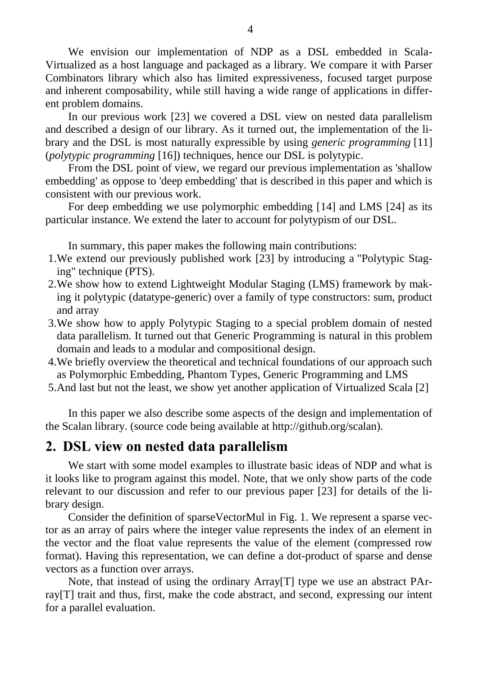We envision our implementation of NDP as a DSL embedded in Scala-Virtualized as a host language and packaged as a library. We compare it with Parser Combinators library which also has limited expressiveness, focused target purpose and inherent composability, while still having a wide range of applications in different problem domains.

In our previous work [23] we covered a DSL view on nested data parallelism and described a design of our library. As it turned out, the implementation of the library and the DSL is most naturally expressible by using *generic programming* [11] (*polytypic programming* [16]) techniques, hence our DSL is polytypic.

From the DSL point of view, we regard our previous implementation as 'shallow embedding' as oppose to 'deep embedding' that is described in this paper and which is consistent with our previous work.

For deep embedding we use polymorphic embedding [14] and LMS [24] as its particular instance. We extend the later to account for polytypism of our DSL.

In summary, this paper makes the following main contributions:

- 1.We extend our previously published work [23] by introducing a "Polytypic Staging" technique (PTS).
- 2.We show how to extend Lightweight Modular Staging (LMS) framework by making it polytypic (datatype-generic) over a family of type constructors: sum, product and array
- 3.We show how to apply Polytypic Staging to a special problem domain of nested data parallelism. It turned out that Generic Programming is natural in this problem domain and leads to a modular and compositional design.
- 4.We briefly overview the theoretical and technical foundations of our approach such as Polymorphic Embedding, Phantom Types, Generic Programming and LMS
- 5.And last but not the least, we show yet another application of Virtualized Scala [2]

In this paper we also describe some aspects of the design and implementation of the Scalan library. (source code being available at http://github.org/scalan).

## <span id="page-4-0"></span>**2. DSL view on nested data parallelism**

We start with some model examples to illustrate basic ideas of NDP and what is it looks like to program against this model. Note, that we only show parts of the code relevant to our discussion and refer to our previous paper [23] for details of the library design.

Consider the definition of sparseVectorMul in [Fig.](#page-5-0) 1. We represent a sparse vector as an array of pairs where the integer value represents the index of an element in the vector and the float value represents the value of the element (compressed row format). Having this representation, we can define a dot-product of sparse and dense vectors as a function over arrays.

Note, that instead of using the ordinary Array[T] type we use an abstract PArray[T] trait and thus, first, make the code abstract, and second, expressing our intent for a parallel evaluation.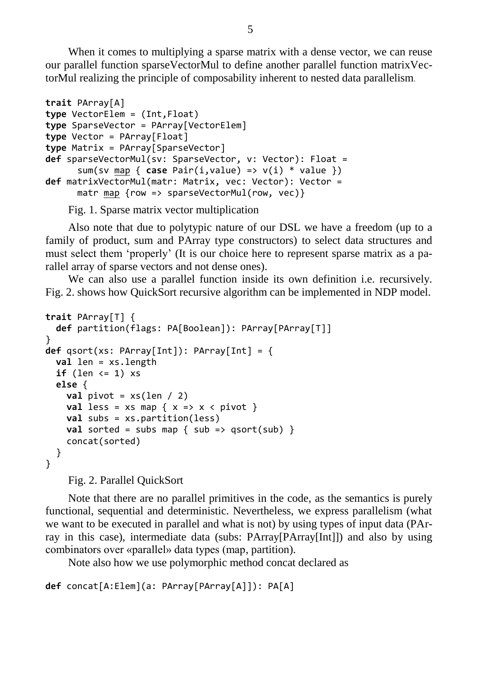When it comes to multiplying a sparse matrix with a dense vector, we can reuse our parallel function sparseVectorMul to define another parallel function matrixVectorMul realizing the principle of composability inherent to nested data parallelism.

```
trait PArray[A]
type VectorElem = (Int,Float)
type SparseVector = PArray[VectorElem]
type Vector = PArray[Float]
type Matrix = PArray[SparseVector]
def sparseVectorMul(sv: SparseVector, v: Vector): Float =
       sum(sv map { case Pair(i,value) => v(i) * value })
def matrixVectorMul(matr: Matrix, vec: Vector): Vector = 
      matr map {row => sparseVectorMul(row, vec)}
```
Fig. 1. Sparse matrix vector multiplication

<span id="page-5-0"></span>Also note that due to polytypic nature of our DSL we have a freedom (up to a family of product, sum and PArray type constructors) to select data structures and must select them "properly" (It is our choice here to represent sparse matrix as a parallel array of sparse vectors and not dense ones).

We can also use a parallel function inside its own definition i.e. recursively. [Fig.](#page-5-1) 2. shows how QuickSort recursive algorithm can be implemented in NDP model.

```
trait PArray[T] {
   def partition(flags: PA[Boolean]): PArray[PArray[T]]
}
def qsort(xs: PArray[Int]): PArray[Int] = {
   val len = xs.length
  if (len < = 1) xs else {
    val pivot = xs(len / 2)val less = xs map \{ x => x < pivot \} val subs = xs.partition(less)
    val sorted = subs map { sub => qsort(sub) }
     concat(sorted) 
  }
}
```
Fig. 2. Parallel QuickSort

<span id="page-5-1"></span>Note that there are no parallel primitives in the code, as the semantics is purely functional, sequential and deterministic. Nevertheless, we express parallelism (what we want to be executed in parallel and what is not) by using types of input data (PArray in this case), intermediate data (subs: PArray[PArray[Int]]) and also by using combinators over «parallel» data types (map, partition).

Note also how we use polymorphic method concat declared as

```
def concat[A:Elem](a: PArray[PArray[A]]): PA[A]
```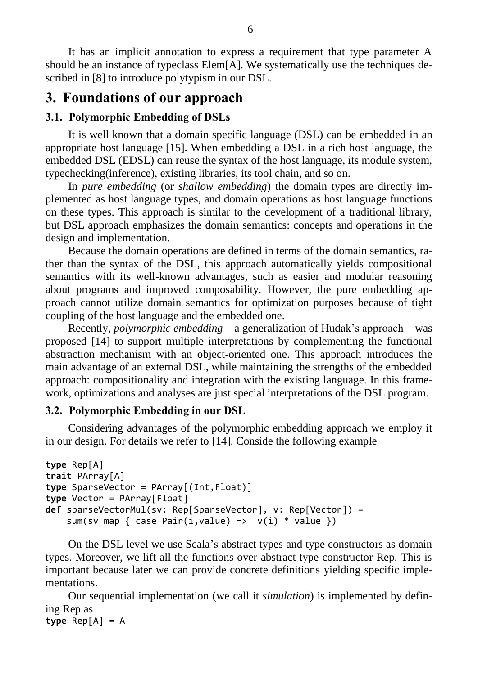It has an implicit annotation to express a requirement that type parameter A should be an instance of typeclass Elem[A]. We systematically use the techniques described in [8] to introduce polytypism in our DSL.

# <span id="page-6-0"></span>**3. Foundations of our approach**

# <span id="page-6-1"></span>**3.1. Polymorphic Embedding of DSLs**

It is well known that a domain specific language (DSL) can be embedded in an appropriate host language [15]. When embedding a DSL in a rich host language, the embedded DSL (EDSL) can reuse the syntax of the host language, its module system, typechecking(inference), existing libraries, its tool chain, and so on.

In *pure embedding* (or *shallow embedding*) the domain types are directly implemented as host language types, and domain operations as host language functions on these types. This approach is similar to the development of a traditional library, but DSL approach emphasizes the domain semantics: concepts and operations in the design and implementation.

Because the domain operations are defined in terms of the domain semantics, rather than the syntax of the DSL, this approach automatically yields compositional semantics with its well-known advantages, such as easier and modular reasoning about programs and improved composability. However, the pure embedding approach cannot utilize domain semantics for optimization purposes because of tight coupling of the host language and the embedded one.

Recently, *polymorphic embedding* – a generalization of Hudak"s approach – was proposed [14] to support multiple interpretations by complementing the functional abstraction mechanism with an object-oriented one. This approach introduces the main advantage of an external DSL, while maintaining the strengths of the embedded approach: compositionality and integration with the existing language. In this framework, optimizations and analyses are just special interpretations of the DSL program.

## <span id="page-6-2"></span>**3.2. Polymorphic Embedding in our DSL**

Considering advantages of the polymorphic embedding approach we employ it in our design. For details we refer to [14]. Conside the following example

```
type Rep[A]
trait PArray[A]
type SparseVector = PArray[(Int,Float)]
type Vector = PArray[Float]
def sparseVectorMul(sv: Rep[SparseVector], v: Rep[Vector]) =
    sum(sv map { case Pair(i,value) => v(i) * value})
```
On the DSL level we use Scala"s abstract types and type constructors as domain types. Moreover, we lift all the functions over abstract type constructor Rep. This is important because later we can provide concrete definitions yielding specific implementations.

Our sequential implementation (we call it *simulation*) is implemented by defining Rep as **type** Rep[A] = A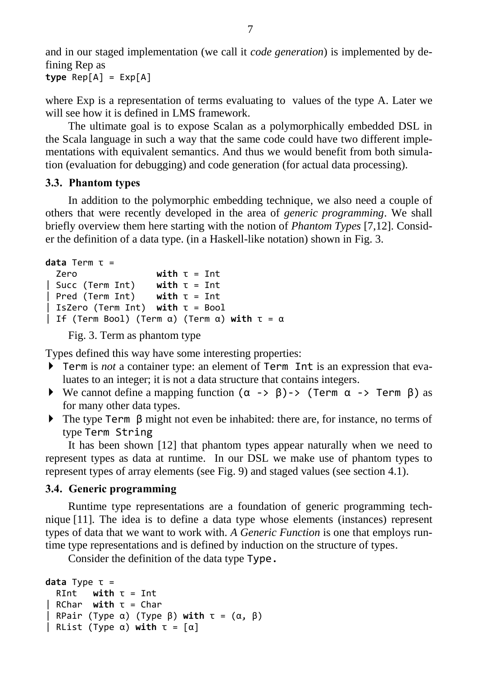and in our staged implementation (we call it *code generation*) is implemented by defining Rep as

```
type Rep[A] = Exp[A]
```
where Exp is a representation of terms evaluating to values of the type A. Later we will see how it is defined in LMS framework.

The ultimate goal is to expose Scalan as a polymorphically embedded DSL in the Scala language in such a way that the same code could have two different implementations with equivalent semantics. And thus we would benefit from both simulation (evaluation for debugging) and code generation (for actual data processing).

### <span id="page-7-0"></span>**3.3. Phantom types**

In addition to the polymorphic embedding technique, we also need a couple of others that were recently developed in the area of *generic programming*. We shall briefly overview them here starting with the notion of *Phantom Types* [7,12]. Consider the definition of a data type. (in a Haskell-like notation) shown in Fig. 3.

```
data Term τ =
```

```
 Zero with τ = Int 
| Succ (Term Int) with τ = Int 
| Pred (Term Int) with τ = Int 
| IsZero (Term Int) with τ = Bool 
| If (Term Bool) (Term α) (Term α) with τ = α
```
Fig. 3. Term as phantom type

Types defined this way have some interesting properties:

- Term is *not* a container type: an element of Term Int is an expression that evaluates to an integer; it is not a data structure that contains integers.
- We cannot define a mapping function  $(\alpha \rightarrow \beta) \rightarrow$  (Term  $\alpha \rightarrow$  Term  $\beta$ ) as for many other data types.
- The type Term β might not even be inhabited: there are, for instance, no terms of type Term String

It has been shown [12] that phantom types appear naturally when we need to represent types as data at runtime. In our DSL we make use of phantom types to represent types of array elements (see [Fig.](#page-11-0) 9) and staged values (see section [4.1\)](#page-14-1).

### <span id="page-7-1"></span>**3.4. Generic programming**

Runtime type representations are a foundation of generic programming technique [11]. The idea is to define a data type whose elements (instances) represent types of data that we want to work with. *A Generic Function* is one that employs runtime type representations and is defined by induction on the structure of types.

Consider the definition of the data type Type.

```
data Type τ = 
 RInt with \tau = Int| RChar with τ = Char 
| RPair (Type α) (Type β) with τ = (α, β)
| RList (Type α) with τ = [α]
```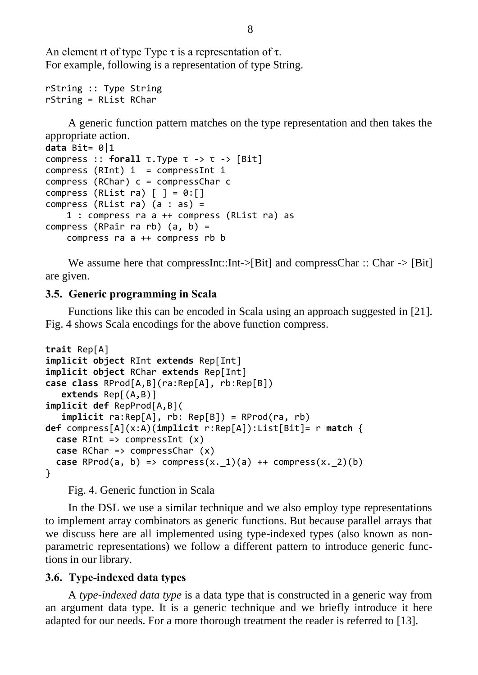An element rt of type Type  $\tau$  is a representation of  $\tau$ . For example, following is a representation of type String.

```
rString :: Type String 
rString = RList RChar
```
A generic function pattern matches on the type representation and then takes the appropriate action.

```
data Bit= 0|1
compress :: forall τ.Type τ -> τ -> [Bit] 
compress (RInt) i = compressInt i
compress (RChar) c = compressChar c 
compress (RList ra) [ ] = 0:[ ]compress (RList ra) (a : as) = 1 : compress ra a ++ compress (RList ra) as
compress (RPair ra rb) (a, b) = 
     compress ra a ++ compress rb b
```
We assume here that compressInt::Int->[Bit] and compressChar :: Char -> [Bit] are given.

#### <span id="page-8-0"></span>**3.5. Generic programming in Scala**

Functions like this can be encoded in Scala using an approach suggested in [21]. [Fig.](#page-8-2) 4 shows Scala encodings for the above function compress.

```
trait Rep[A] 
implicit object RInt extends Rep[Int] 
implicit object RChar extends Rep[Int] 
case class RProd[A,B](ra:Rep[A], rb:Rep[B]) 
    extends Rep[(A,B)] 
implicit def RepProd[A,B](
    implicit ra:Rep[A], rb: Rep[B]) = RProd(ra, rb)
def compress[A](x:A)(implicit r:Rep[A]):List[Bit]= r match {
   case RInt => compressInt (x) 
   case RChar => compressChar (x) 
  case RProd(a, b) => compress(x._1)(a) ++ compress(x._2)(b)
}
```
Fig. 4. Generic function in Scala

<span id="page-8-2"></span>In the DSL we use a similar technique and we also employ type representations to implement array combinators as generic functions. But because parallel arrays that we discuss here are all implemented using type-indexed types (also known as nonparametric representations) we follow a different pattern to introduce generic functions in our library.

#### <span id="page-8-1"></span>**3.6. Type-indexed data types**

A *type-indexed data type* is a data type that is constructed in a generic way from an argument data type. It is a generic technique and we briefly introduce it here adapted for our needs. For a more thorough treatment the reader is referred to [13].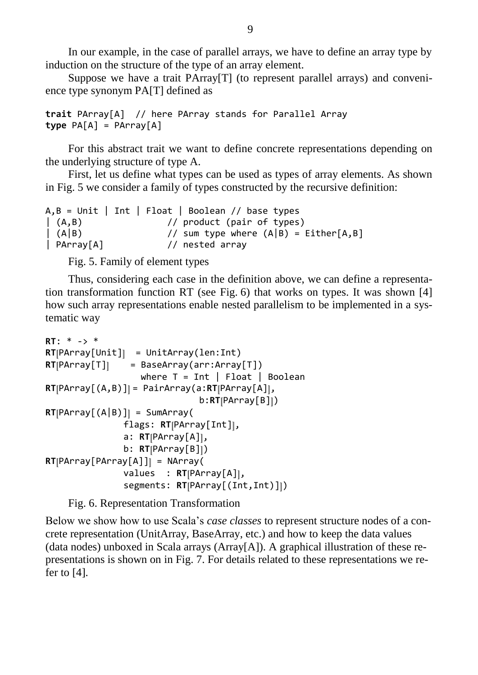In our example, in the case of parallel arrays, we have to define an array type by induction on the structure of the type of an array element.

Suppose we have a trait PArray[T] (to represent parallel arrays) and convenience type synonym PA[T] defined as

```
trait PArray[A] // here PArray stands for Parallel Array
type PA[A] = PArray[A]
```
For this abstract trait we want to define concrete representations depending on the underlying structure of type A.

First, let us define what types can be used as types of array elements. As shown in [Fig.](#page-9-0) 5 we consider a family of types constructed by the recursive definition:

|                        | $A, B = Unit$   Int   Float   Boolean // base types |                                         |
|------------------------|-----------------------------------------------------|-----------------------------------------|
| (A,B)                  | // product (pair of types)                          |                                         |
| $\left  \right  (A B)$ |                                                     | // sum type where $(A B) = Either[A,B]$ |
| $ $ PArray $[A]$       | // nested array                                     |                                         |

Fig. 5. Family of element types

<span id="page-9-0"></span>Thus, considering each case in the definition above, we can define a representation transformation function RT (see [Fig.](#page-9-1) 6) that works on types. It was shown [4] how such array representations enable nested parallelism to be implemented in a systematic way

```
RT: * -> *
RT[PArray[Unit]] = UnitArray(len:Int)
RT[PArray[T]] = BaseArray(arr:Array[T])
                   where T = Int \mid Float \mid Boolean
RT[PArray[(A,B)]] = PairArray(a:RT[PArray[A]], 
                                b:RT[PArray[B]])
RT[PArray[(A|B)]] = SumArray( flags: RT[PArray[Int]], 
                 a: RT[PArray[A]], 
                 b: RT[PArray[B]])
RT[PArray[PArray[A]]] = NArray(
                 values : RT[PArray[A]], 
                 segments: RT[PArray[(Int,Int)]])
```
Fig. 6. Representation Transformation

<span id="page-9-1"></span>Below we show how to use Scala"s *case classes* to represent structure nodes of a concrete representation (UnitArray, BaseArray, etc.) and how to keep the data values (data nodes) unboxed in Scala arrays (Array[A]). A graphical illustration of these representations is shown on in [Fig.](#page-10-1) 7. For details related to these representations we refer to [4].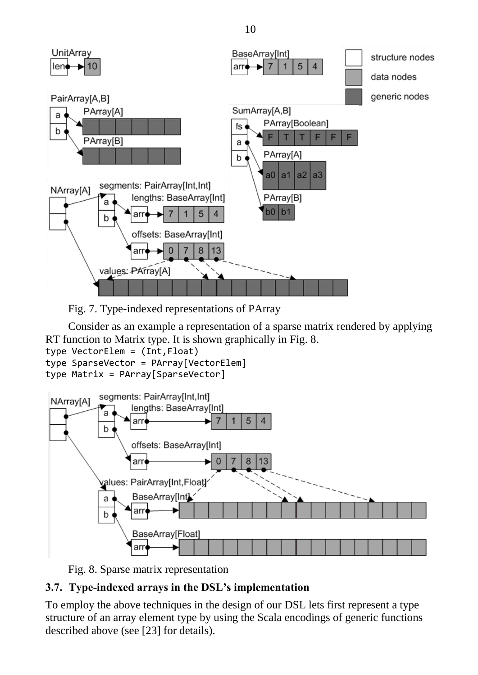

<span id="page-10-1"></span>

Consider as an example a representation of a sparse matrix rendered by applying RT function to Matrix type. It is shown graphically in [Fig.](#page-10-2) 8.

type VectorElem = (Int,Float)

type SparseVector = PArray[VectorElem]

```
type Matrix = PArray[SparseVector]
```


Fig. 8. Sparse matrix representation

# <span id="page-10-2"></span><span id="page-10-0"></span>**3.7. Type-indexed arrays in the DSL's implementation**

To employ the above techniques in the design of our DSL lets first represent a type structure of an array element type by using the Scala encodings of generic functions described above (see [23] for details).

10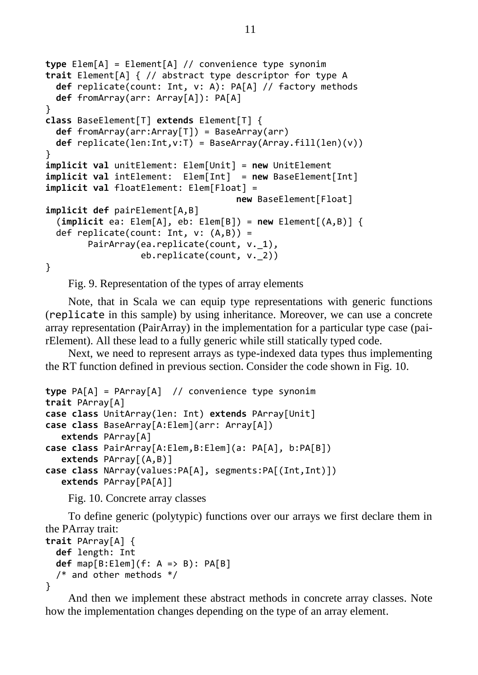```
type Elem[A] = Element[A] // convenience type synonim
trait Element[A] { // abstract type descriptor for type A
  def replicate(count: Int, v: A): PA[A] // factory methods
  def fromArray(arr: Array[A]): PA[A]
}
class BaseElement[T] extends Element[T] {
  def fromArray(arr:Array[T]) = BaseArray(arr)
  def replicate(len:Int,v:T) = BaseArray(Array.fill(len)(v))
}
implicit val unitElement: Elem[Unit] = new UnitElement
implicit val intElement: Elem[Int] = new BaseElement[Int]
implicit val floatElement: Elem[Float] =
                                     new BaseElement[Float]
implicit def pairElement[A,B]
   (implicit ea: Elem[A], eb: Elem[B]) = new Element[(A,B)] {
 def replicate(count: Int, v: (A, B)) =
        PairArray(ea.replicate(count, v. 1),
                   eb.replicate(count, v._2))
}
```
Fig. 9. Representation of the types of array elements

<span id="page-11-0"></span>Note, that in Scala we can equip type representations with generic functions (replicate in this sample) by using inheritance. Moreover, we can use a concrete array representation (PairArray) in the implementation for a particular type case (pairElement). All these lead to a fully generic while still statically typed code.

Next, we need to represent arrays as type-indexed data types thus implementing the RT function defined in previous section. Consider the code shown in [Fig.](#page-11-1) 10.

```
type PA[A] = PArray[A] // convenience type synonim
trait PArray[A] 
case class UnitArray(len: Int) extends PArray[Unit] 
case class BaseArray[A:Elem](arr: Array[A]) 
    extends PArray[A]
case class PairArray[A:Elem,B:Elem](a: PA[A], b:PA[B]) 
    extends PArray[(A,B)]
case class NArray(values:PA[A], segments:PA[(Int,Int)])
    extends PArray[PA[A]]
```
Fig. 10. Concrete array classes

<span id="page-11-1"></span>To define generic (polytypic) functions over our arrays we first declare them in the PArray trait:

```
trait PArray[A] { 
   def length: Int 
   def map[B:Elem](f: A => B): PA[B] 
   /* and other methods */
}
```
And then we implement these abstract methods in concrete array classes. Note how the implementation changes depending on the type of an array element.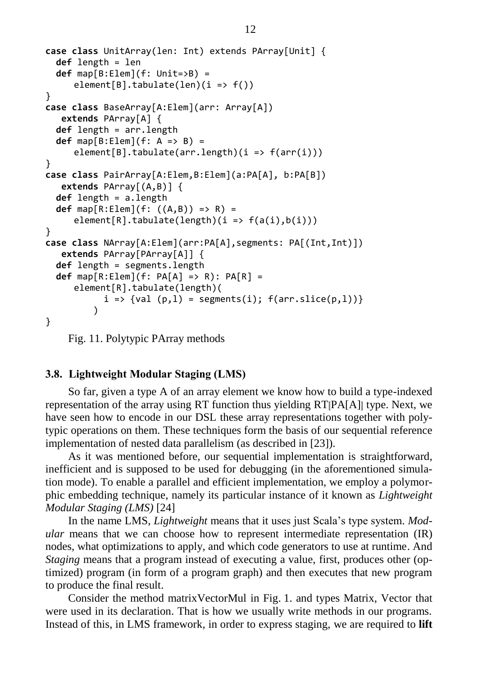```
case class UnitArray(len: Int) extends PArray[Unit] {
   def length = len
   def map[B:Elem](f: Unit=>B) = 
     element[B].tabulate(len)(i \Rightarrow f())}
case class BaseArray[A:Elem](arr: Array[A]) 
    extends PArray[A] { 
   def length = arr.length
  def map[B:Element(f: A \Rightarrow B) =element[B].tabulate(arr.length)(i \Rightarrow f(arr(i)))}
case class PairArray[A:Elem,B:Elem](a:PA[A], b:PA[B]) 
    extends PArray[(A,B)] { 
   def length = a.length
   def map[R:Elem](f: ((A,B)) => R) = 
     element[R].tabulate(length)(i \Rightarrow f(a(i),b(i)))}
case class NArray[A:Elem](arr:PA[A],segments: PA[(Int,Int)])
    extends PArray[PArray[A]] { 
   def length = segments.length
   def map[R:Elem](f: PA[A] => R): PA[R] = 
     element[R].tabulate(length)(
            i \Rightarrow \{ val (p,1) = segments(i); f(arr.slice(p,1)) \}\overline{\phantom{a}}}
```
<span id="page-12-1"></span>Fig. 11. Polytypic PArray methods

#### <span id="page-12-0"></span>**3.8. Lightweight Modular Staging (LMS)**

So far, given a type A of an array element we know how to build a type-indexed representation of the array using RT function thus yielding RT[PA[A]] type. Next, we have seen how to encode in our DSL these array representations together with polytypic operations on them. These techniques form the basis of our sequential reference implementation of nested data parallelism (as described in [23]).

As it was mentioned before, our sequential implementation is straightforward, inefficient and is supposed to be used for debugging (in the aforementioned simulation mode). To enable a parallel and efficient implementation, we employ a polymorphic embedding technique, namely its particular instance of it known as *Lightweight Modular Staging (LMS)* [24]

In the name LMS, *Lightweight* means that it uses just Scala"s type system. *Modular* means that we can choose how to represent intermediate representation (IR) nodes, what optimizations to apply, and which code generators to use at runtime. And *Staging* means that a program instead of executing a value, first, produces other (optimized) program (in form of a program graph) and then executes that new program to produce the final result.

Consider the method matrixVectorMul in [Fig.](#page-5-0) 1. and types Matrix, Vector that were used in its declaration. That is how we usually write methods in our programs. Instead of this, in LMS framework, in order to express staging, we are required to **lift**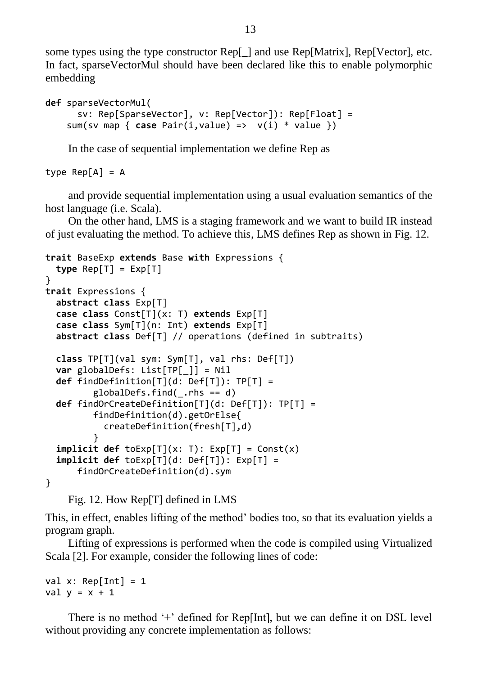some types using the type constructor Rep[\_] and use Rep[Matrix], Rep[Vector], etc. In fact, sparseVectorMul should have been declared like this to enable polymorphic embedding

```
def sparseVectorMul(
       sv: Rep[SparseVector], v: Rep[Vector]): Rep[Float] =
     sum(sv map { case Pair(i,value) => v(i) * value })
```
In the case of sequential implementation we define Rep as

type  $Rep[A] = A$ 

and provide sequential implementation using a usual evaluation semantics of the host language (i.e. Scala).

On the other hand, LMS is a staging framework and we want to build IR instead of just evaluating the method. To achieve this, LMS defines Rep as shown in [Fig.](#page-13-0) 12.

```
trait BaseExp extends Base with Expressions { 
   type Rep[T] = Exp[T]
}
trait Expressions { 
   abstract class Exp[T] 
   case class Const[T](x: T) extends Exp[T] 
   case class Sym[T](n: Int) extends Exp[T]
   abstract class Def[T] // operations (defined in subtraits) 
   class TP[T](val sym: Sym[T], val rhs: Def[T]) 
   var globalDefs: List[TP[_]] = Nil
   def findDefinition[T](d: Def[T]): TP[T] = 
          globalDefs.find(_.rhs == d) 
   def findOrCreateDefinition[T](d: Def[T]): TP[T] =
          findDefinition(d).getOrElse{
            createDefinition(fresh[T],d)
 }
  implicit def toExp[T](x: T): Exp[T] = Const(x) implicit def toExp[T](d: Def[T]): Exp[T] = 
       findOrCreateDefinition(d).sym 
}
```
Fig. 12. How Rep[T] defined in LMS

<span id="page-13-0"></span>This, in effect, enables lifting of the method" bodies too, so that its evaluation yields a program graph.

Lifting of expressions is performed when the code is compiled using Virtualized Scala [2]. For example, consider the following lines of code:

val  $x: Rep[Int] = 1$ val  $y = x + 1$ 

There is no method  $+$  defined for Rep[Int], but we can define it on DSL level without providing any concrete implementation as follows: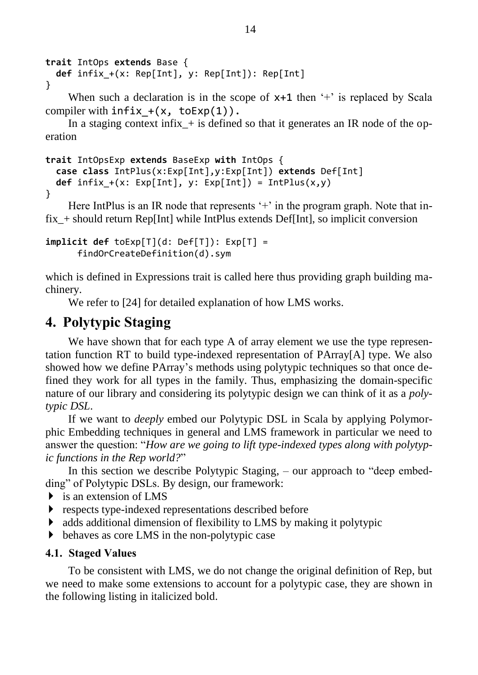```
trait IntOps extends Base { 
   def infix_+(x: Rep[Int], y: Rep[Int]): Rep[Int]
}
```
When such a declaration is in the scope of  $x+1$  then  $+$  is replaced by Scala compiler with  $\text{infix} + (x, \text{toExp}(1))$ .

In a staging context infix  $+$  is defined so that it generates an IR node of the operation

```
trait IntOpsExp extends BaseExp with IntOps { 
  case class IntPlus(x:Exp[Int],y:Exp[Int]) extends Def[Int] 
 def infix +(x: Exp[Int], y: Exp[Int]) = IntPlus(x,y)}
```
Here IntPlus is an IR node that represents  $+$  in the program graph. Note that infix\_+ should return Rep[Int] while IntPlus extends Def[Int], so implicit conversion

```
implicit def toExp[T](d: Def[T]): Exp[T] = 
       findOrCreateDefinition(d).sym
```
which is defined in Expressions trait is called here thus providing graph building machinery.

We refer to [24] for detailed explanation of how LMS works.

# <span id="page-14-0"></span>**4. Polytypic Staging**

We have shown that for each type A of array element we use the type representation function RT to build type-indexed representation of PArray[A] type. We also showed how we define PArray"s methods using polytypic techniques so that once defined they work for all types in the family. Thus, emphasizing the domain-specific nature of our library and considering its polytypic design we can think of it as a *polytypic DSL*.

If we want to *deeply* embed our Polytypic DSL in Scala by applying Polymorphic Embedding techniques in general and LMS framework in particular we need to answer the question: "*How are we going to lift type-indexed types along with polytypic functions in the Rep world?*"

In this section we describe Polytypic Staging, – our approach to "deep embedding" of Polytypic DSLs. By design, our framework:

- $\triangleright$  is an extension of LMS
- **F** respects type-indexed representations described before
- adds additional dimension of flexibility to LMS by making it polytypic
- behaves as core LMS in the non-polytypic case

#### <span id="page-14-1"></span>**4.1. Staged Values**

To be consistent with LMS, we do not change the original definition of Rep, but we need to make some extensions to account for a polytypic case, they are shown in the following listing in italicized bold.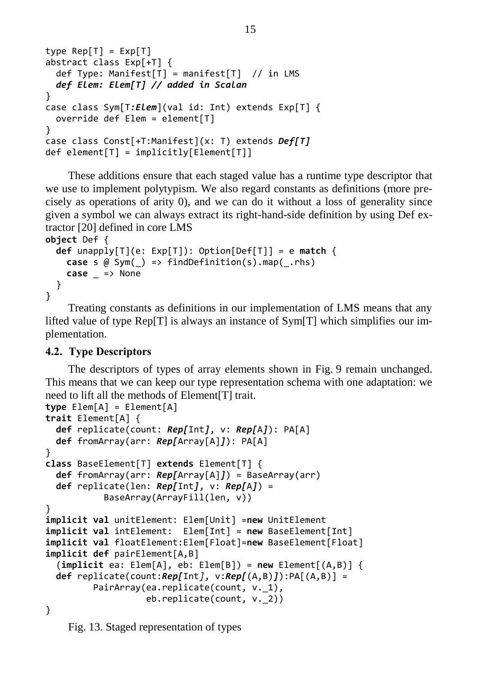```
type Rep[T] = Exp[T]abstract class Exp[+T] {
 def Type: Manifest[T] = manifest[T] // in LMS
  def Elem: Elem[T] // added in Scalan
}
case class Sym[T:Elem](val id: Int) extends Exp[T] {
  override def Elem = element[T]
}
case class Const[+T:Manifest](x: T) extends Def[T]
def element[T] = implicity[Element[T]]
```
These additions ensure that each staged value has a runtime type descriptor that we use to implement polytypism. We also regard constants as definitions (more precisely as operations of arity 0), and we can do it without a loss of generality since given a symbol we can always extract its right-hand-side definition by using Def extractor [20] defined in core LMS

```
object Def {
   def unapply[T](e: Exp[T]): Option[Def[T]] = e match { 
    case s \omega Sym() => findDefinition(s).map( .rhs)
     case _ => None
   }
}
```
Treating constants as definitions in our implementation of LMS means that any lifted value of type Rep[T] is always an instance of Sym[T] which simplifies our implementation.

### <span id="page-15-0"></span>**4.2. Type Descriptors**

The descriptors of types of array elements shown in [Fig.](#page-11-0) 9 remain unchanged. This means that we can keep our type representation schema with one adaptation: we need to lift all the methods of Element[T] trait.

```
type Elem[A] = Element[A] 
trait Element[A] {
   def replicate(count: Rep[Int], v: Rep[A]): PA[A]
   def fromArray(arr: Rep[Array[A]]): PA[A]
}
class BaseElement[T] extends Element[T] {
   def fromArray(arr: Rep[Array[A]]) = BaseArray(arr)
   def replicate(len: Rep[Int], v: Rep[A]) = 
            BaseArray(ArrayFill(len, v))
}
implicit val unitElement: Elem[Unit] =new UnitElement
implicit val intElement: Elem[Int] = new BaseElement[Int]
implicit val floatElement:Elem[Float]=new BaseElement[Float]
implicit def pairElement[A,B]
   (implicit ea: Elem[A], eb: Elem[B]) = new Element[(A,B)] {
   def replicate(count:Rep[Int], v:Rep[(A,B)]):PA[(A,B)] = 
         PairArray(ea.replicate(count, v. 1),
                    eb.replicate(count, v._2))
}
```
<span id="page-15-1"></span>Fig. 13. Staged representation of types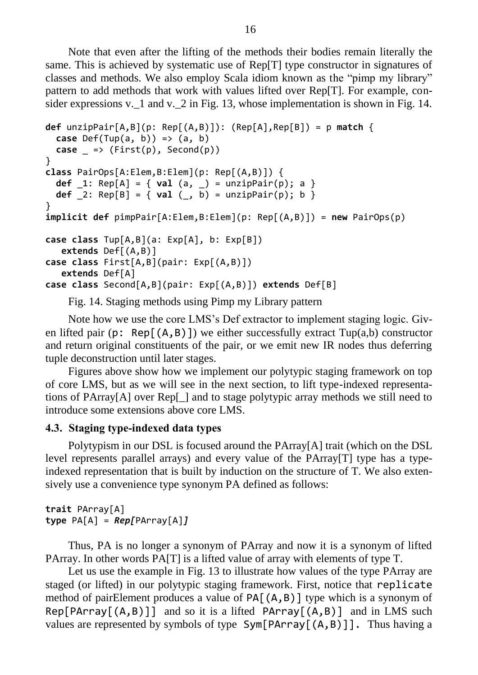Note that even after the lifting of the methods their bodies remain literally the same. This is achieved by systematic use of Rep[T] type constructor in signatures of classes and methods. We also employ Scala idiom known as the "pimp my library" pattern to add methods that work with values lifted over Rep[T]. For example, con-sider expressions v. 1 and v. 2 in [Fig.](#page-16-1) 13, whose implementation is shown in Fig. 14.

```
def unzipPair[A,B](p: Rep[(A,B)]): (Rep[A],Rep[B]) = p match {
   case Def(Tup(a, b)) => (a, b)
  case \equiv \Rightarrow (First(p), Second(p))
}
class PairOps[A:Elem,B:Elem](p: Rep[(A,B)]) {
   def _1: Rep[A] = { val (a, _) = unzipPair(p); a }
  def [2: \text{Rep}[B] = \{ val(\_, b) = unzipPair(p); b \}}
implicit def pimpPair[A:Elem,B:Elem](p: Rep[(A,B)]) = new PairOps(p)
case class Tup[A,B](a: Exp[A], b: Exp[B]) 
    extends Def[(A,B)]
case class First[A,B](pair: Exp[(A,B)]) 
    extends Def[A]
case class Second[A,B](pair: Exp[(A,B)]) extends Def[B]
```
Fig. 14. Staging methods using Pimp my Library pattern

<span id="page-16-1"></span>Note how we use the core LMS"s Def extractor to implement staging logic. Given lifted pair (p: Rep[ $(A, B)$ ]) we either successfully extract Tup(a,b) constructor and return original constituents of the pair, or we emit new IR nodes thus deferring tuple deconstruction until later stages.

Figures above show how we implement our polytypic staging framework on top of core LMS, but as we will see in the next section, to lift type-indexed representations of PArray[A] over Rep[\_] and to stage polytypic array methods we still need to introduce some extensions above core LMS.

#### <span id="page-16-0"></span>**4.3. Staging type-indexed data types**

Polytypism in our DSL is focused around the PArray[A] trait (which on the DSL level represents parallel arrays) and every value of the PArray[T] type has a typeindexed representation that is built by induction on the structure of T. We also extensively use a convenience type synonym PA defined as follows:

```
trait PArray[A] 
type PA[A] = Rep[PArray[A]]
```
Thus, PA is no longer a synonym of PArray and now it is a synonym of lifted PArray. In other words PA[T] is a lifted value of array with elements of type T.

Let us use the example in [Fig.](#page-15-1) 13 to illustrate how values of the type PArray are staged (or lifted) in our polytypic staging framework. First, notice that replicate method of pairElement produces a value of  $PA[ (A, B) ]$  type which is a synonym of  $Rep[PArray[(A, B)]]$  and so it is a lifted  $PArray[(A, B)]$  and in LMS such values are represented by symbols of type  $Sym[PArray[(A,B)]]$ . Thus having a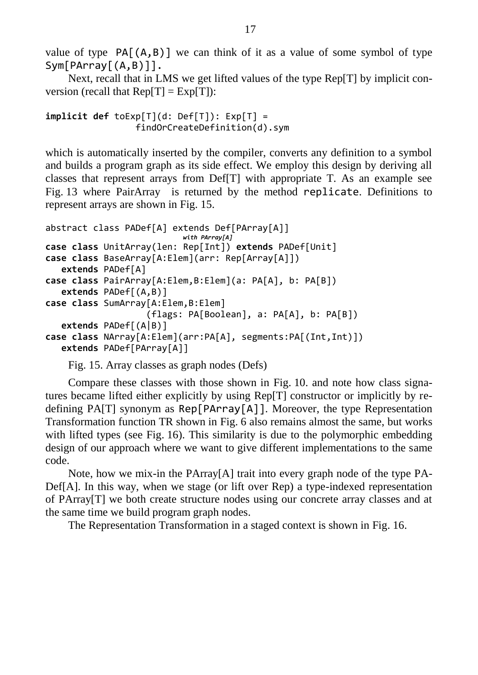value of type  $PA[(A,B)]$  we can think of it as a value of some symbol of type Sym[PArray[(A,B)]].

Next, recall that in LMS we get lifted values of the type Rep[T] by implicit conversion (recall that  $Rep[T] = Exp[T]$ ):

```
implicit def toExp[T](d: Def[T]): Exp[T] = 
                  findOrCreateDefinition(d).sym
```
which is automatically inserted by the compiler, converts any definition to a symbol and builds a program graph as its side effect. We employ this design by deriving all classes that represent arrays from Def[T] with appropriate T. As an example see [Fig.](#page-15-1) 13 where PairArray is returned by the method replicate. Definitions to represent arrays are shown in [Fig.](#page-17-0) 15.

```
abstract class PADef[A] extends Def[PArray[A]] 
                            with PArray[A]
case class UnitArray(len: Rep[Int]) extends PADef[Unit] 
case class BaseArray[A:Elem](arr: Rep[Array[A]]) 
    extends PADef[A] 
case class PairArray[A:Elem,B:Elem](a: PA[A], b: PA[B])
    extends PADef[(A,B)] 
case class SumArray[A:Elem,B:Elem]
                     (flags: PA[Boolean], a: PA[A], b: PA[B])
    extends PADef[(A|B)]
case class NArray[A:Elem](arr:PA[A], segments:PA[(Int,Int)])
    extends PADef[PArray[A]]
```
Fig. 15. Array classes as graph nodes (Defs)

<span id="page-17-0"></span>Compare these classes with those shown in [Fig.](#page-11-1) 10. and note how class signatures became lifted either explicitly by using Rep[T] constructor or implicitly by redefining PA[T] synonym as Rep[PArray[A]]. Moreover, the type Representation Transformation function TR shown in [Fig.](#page-9-1) 6 also remains almost the same, but works with lifted types (see [Fig.](#page-18-0) 16). This similarity is due to the polymorphic embedding design of our approach where we want to give different implementations to the same code.

Note, how we mix-in the PArray[A] trait into every graph node of the type PA-Def[A]. In this way, when we stage (or lift over Rep) a type-indexed representation of PArray[T] we both create structure nodes using our concrete array classes and at the same time we build program graph nodes.

The Representation Transformation in a staged context is shown in [Fig.](#page-18-0) 16.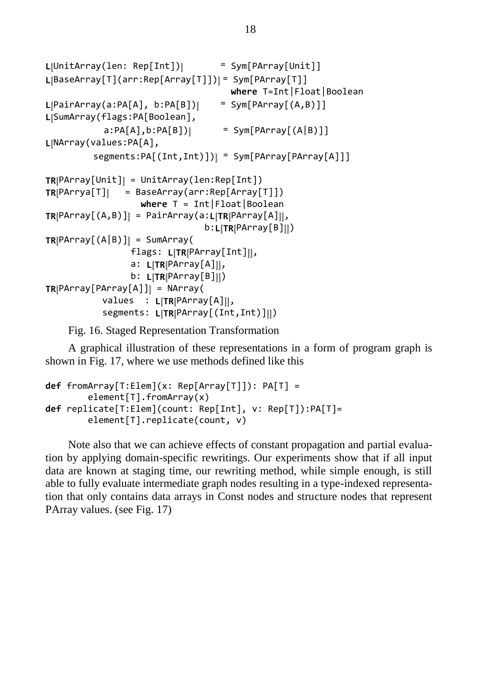```
L[UnitArray(len: Rep[Int])] = Sym[PArray[Unit]]
L[BaseArray[T](arr:Rep[Array[T]])] = Sym[PArray[T]] 
                                     where T=Int|Float|Boolean
L[PairArray(a:PA[A], b:PA[B])] = Sym[PArray[(A,B)]]
L[SumArray(flags:PA[Boolean],
           a:PA[A], b:PA[B]) = Sym[PArray[(A|B)]]
L[NArray(values:PA[A],
          segments:PA[(Int,Int)])] = Sym[PArray[PArray[A]]]
TR[PArray[Unit]] = UnitArray(len:Rep[Int])
TR[PArrya[T]] = BaseArray(arr:Rep[Array[T]]) 
                   where T = Int|Float|Boolean
TR[PArray[(A,B)]] = PairArray(a:L[TR[PArray[A]]],
                                b:L[TR[PArray[B]]])
TR[PArray[(A|B)]] = SumArray(flags: L[TR[PArray[Int]]], 
                a: L[TR[PArray[A]]], 
                b: L[TR[PArray[B]]])
TR[PArray[PArray[A]]] = NArray(
           values : L[TR[PArray[A]]], 
           segments: L[TR[PArray[(Int,Int)]]])
```
Fig. 16. Staged Representation Transformation

<span id="page-18-0"></span>A graphical illustration of these representations in a form of program graph is shown in [Fig.](#page-19-1) 17, where we use methods defined like this

```
def fromArray[T:Elem](x: Rep[Array[T]]): PA[T] = 
        element[T].fromArray(x)
def replicate[T:Elem](count: Rep[Int], v: Rep[T]):PA[T]=
        element[T].replicate(count, v)
```
Note also that we can achieve effects of constant propagation and partial evaluation by applying domain-specific rewritings. Our experiments show that if all input data are known at staging time, our rewriting method, while simple enough, is still able to fully evaluate intermediate graph nodes resulting in a type-indexed representation that only contains data arrays in Const nodes and structure nodes that represent PArray values. (see [Fig.](#page-19-1) 17)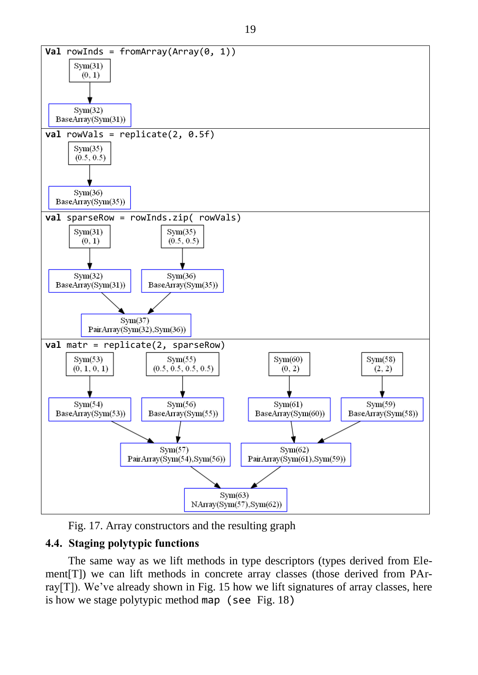

Fig. 17. Array constructors and the resulting graph

## <span id="page-19-1"></span><span id="page-19-0"></span>**4.4. Staging polytypic functions**

The same way as we lift methods in type descriptors (types derived from Element[T]) we can lift methods in concrete array classes (those derived from PArray $[T]$ ). We've already shown in [Fig.](#page-17-0) 15 how we lift signatures of array classes, here is how we stage polytypic method map (see [Fig.](#page-20-1) 18)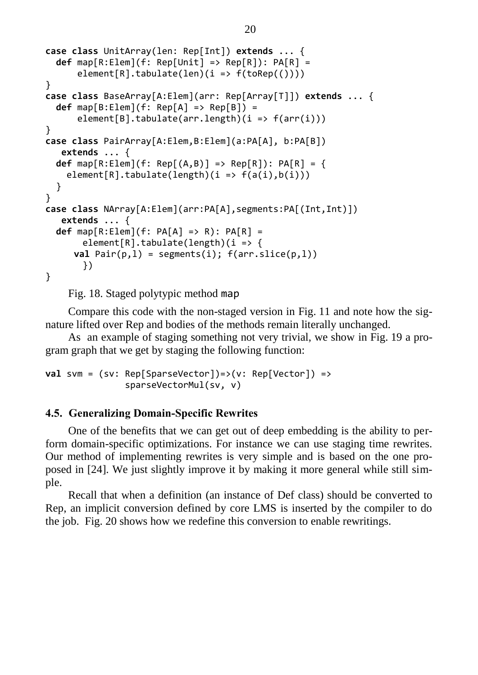```
case class UnitArray(len: Rep[Int]) extends ... { 
   def map[R:Elem](f: Rep[Unit] => Rep[R]): PA[R] = 
      element[R].tabulate(len)(i \Rightarrow f(toRep(())))}
case class BaseArray[A:Elem](arr: Rep[Array[T]]) extends ... { 
   def map[B:Elem](f: Rep[A] => Rep[B]) = 
      element[B].tabulate(arr.length)(i \Rightarrow f(ar(i)))}
case class PairArray[A:Elem,B:Elem](a:PA[A], b:PA[B]) 
    extends ... { 
   def map[R:Elem](f: Rep[(A,B)] => Rep[R]): PA[R] = {
    element[R].tabulate(length)(i \Rightarrow f(a(i),b(i))) }
}
case class NArray[A:Elem](arr:PA[A],segments:PA[(Int,Int)])
    extends ... { 
   def map[R:Elem](f: PA[A] => R): PA[R] = 
       element[R].tabulate(length)(i \Rightarrow fval Pair(p,1) = segments(i); f(arr.size(p,1)) })
}
```
Fig. 18. Staged polytypic method map

<span id="page-20-1"></span>Compare this code with the non-staged version in [Fig.](#page-12-1) 11 and note how the signature lifted over Rep and bodies of the methods remain literally unchanged.

As an example of staging something not very trivial, we show in [Fig.](#page-21-0) 19 a program graph that we get by staging the following function:

```
val svm = (sv: Rep[SparseVector])=>(v: Rep[Vector]) => 
                sparseVectorMul(sv, v)
```
### <span id="page-20-0"></span>**4.5. Generalizing Domain-Specific Rewrites**

One of the benefits that we can get out of deep embedding is the ability to perform domain-specific optimizations. For instance we can use staging time rewrites. Our method of implementing rewrites is very simple and is based on the one proposed in [24]. We just slightly improve it by making it more general while still simple.

Recall that when a definition (an instance of Def class) should be converted to Rep, an implicit conversion defined by core LMS is inserted by the compiler to do the job. [Fig.](#page-21-1) 20 shows how we redefine this conversion to enable rewritings.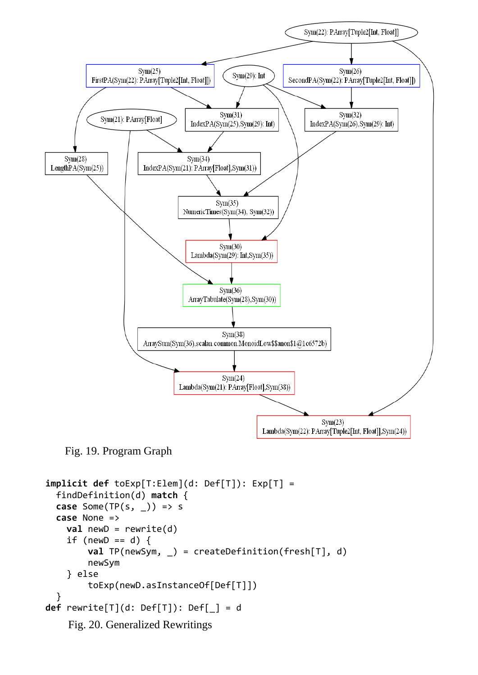

<span id="page-21-0"></span>Fig. 19. Program Graph

```
implicit def toExp[T:Elem](d: Def[T]): Exp[T] = 
   findDefinition(d) match {
   case Some(TP(s, _)) => s
   case None =>
     val newD = rewrite(d)
    if (newD == d) {
         val TP(newSym, _) = createDefinition(fresh[T], d)
         newSym
     } else 
         toExp(newD.asInstanceOf[Def[T]])
   }
def rewrite[T](d: Def[T]): Def[_] = d
    Fig. 20. Generalized Rewritings
```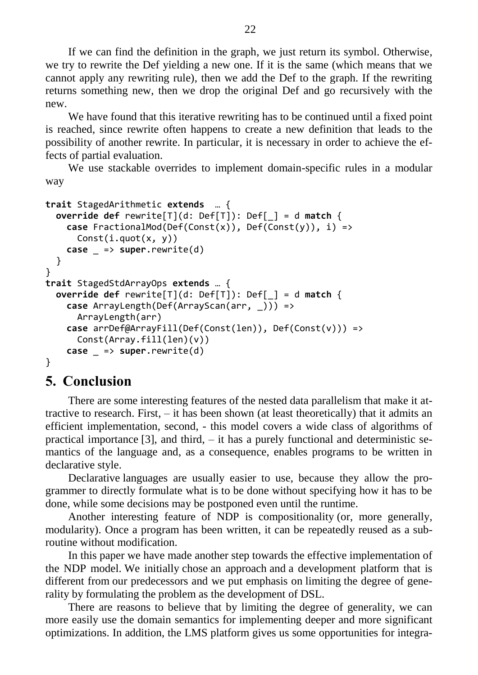If we can find the definition in the graph, we just return its symbol. Otherwise, we try to rewrite the Def yielding a new one. If it is the same (which means that we cannot apply any rewriting rule), then we add the Def to the graph. If the rewriting returns something new, then we drop the original Def and go recursively with the new.

We have found that this iterative rewriting has to be continued until a fixed point is reached, since rewrite often happens to create a new definition that leads to the possibility of another rewrite. In particular, it is necessary in order to achieve the effects of partial evaluation.

We use stackable overrides to implement domain-specific rules in a modular way

```
trait StagedArithmetic extends … {
  override def rewrite[T](d: Def[T]): Def[_] = d match {
     case FractionalMod(Def(Const(x)), Def(Const(y)), i) => 
       Const(i.quot(x, y))
    case => super.rewrite(d)
  }
}
trait StagedStdArrayOps extends … {
  override def rewrite[T](d: Def[T]): Def[_] = d match {
     case ArrayLength(Def(ArrayScan(arr, _))) => 
       ArrayLength(arr)
     case arrDef@ArrayFill(Def(Const(len)), Def(Const(v))) =>
       Const(Array.fill(len)(v))
    case => super.rewrite(d)
}
```
## <span id="page-22-0"></span>**5. Conclusion**

There are some interesting features of the nested data parallelism that make it attractive to research. First, – it has been shown (at least theoretically) that it admits an efficient implementation, second, - this model covers a wide class of algorithms of practical importance  $[3]$ , and third,  $-$  it has a purely functional and deterministic semantics of the language and, as a consequence, enables programs to be written in declarative style.

Declarative languages are usually easier to use, because they allow the programmer to directly formulate what is to be done without specifying how it has to be done, while some decisions may be postponed even until the runtime.

Another interesting feature of NDP is compositionality (or, more generally, modularity). Once a program has been written, it can be repeatedly reused as a subroutine without modification.

In this paper we have made another step towards the effective implementation of the NDP model. We initially chose an approach and a development platform that is different from our predecessors and we put emphasis on limiting the degree of generality by formulating the problem as the development of DSL.

There are reasons to believe that by limiting the degree of generality, we can more easily use the domain semantics for implementing deeper and more significant optimizations. In addition, the LMS platform gives us some opportunities for integra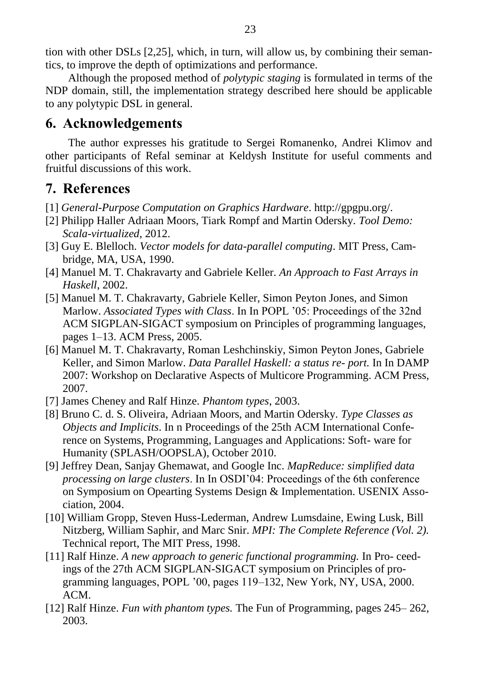tion with other DSLs [2,25], which, in turn, will allow us, by combining their semantics, to improve the depth of optimizations and performance.

Although the proposed method of *polytypic staging* is formulated in terms of the NDP domain, still, the implementation strategy described here should be applicable to any polytypic DSL in general.

# <span id="page-23-0"></span>**6. Acknowledgements**

The author expresses his gratitude to Sergei Romanenko, Andrei Klimov and other participants of Refal seminar at Keldysh Institute for useful comments and fruitful discussions of this work.

# <span id="page-23-1"></span>**7. References**

- [1] *General-Purpose Computation on Graphics Hardware*. http://gpgpu.org/.
- [2] Philipp Haller Adriaan Moors, Tiark Rompf and Martin Odersky. *Tool Demo: Scala-virtualized*, 2012.
- [3] Guy E. Blelloch. *Vector models for data-parallel computing*. MIT Press, Cambridge, MA, USA, 1990.
- [4] Manuel M. T. Chakravarty and Gabriele Keller. *An Approach to Fast Arrays in Haskell*, 2002.
- [5] Manuel M. T. Chakravarty, Gabriele Keller, Simon Peyton Jones, and Simon Marlow. *Associated Types with Class*. In In POPL "05: Proceedings of the 32nd ACM SIGPLAN-SIGACT symposium on Principles of programming languages, pages 1–13. ACM Press, 2005.
- [6] Manuel M. T. Chakravarty, Roman Leshchinskiy, Simon Peyton Jones, Gabriele Keller, and Simon Marlow. *Data Parallel Haskell: a status re- port.* In In DAMP 2007: Workshop on Declarative Aspects of Multicore Programming. ACM Press, 2007.
- [7] James Cheney and Ralf Hinze. *Phantom types*, 2003.
- [8] Bruno C. d. S. Oliveira, Adriaan Moors, and Martin Odersky. *Type Classes as Objects and Implicits*. In n Proceedings of the 25th ACM International Conference on Systems, Programming, Languages and Applications: Soft- ware for Humanity (SPLASH/OOPSLA), October 2010.
- [9] Jeffrey Dean, Sanjay Ghemawat, and Google Inc. *MapReduce: simplified data processing on large clusters*. In In OSDI"04: Proceedings of the 6th conference on Symposium on Opearting Systems Design & Implementation. USENIX Association, 2004.
- [10] William Gropp, Steven Huss-Lederman, Andrew Lumsdaine, Ewing Lusk, Bill Nitzberg, William Saphir, and Marc Snir. *MPI: The Complete Reference (Vol. 2).* Technical report, The MIT Press, 1998.
- [11] Ralf Hinze. *A new approach to generic functional programming.* In Pro- ceedings of the 27th ACM SIGPLAN-SIGACT symposium on Principles of programming languages, POPL "00, pages 119–132, New York, NY, USA, 2000. ACM.
- [12] Ralf Hinze. *Fun with phantom types.* The Fun of Programming, pages 245– 262, 2003.